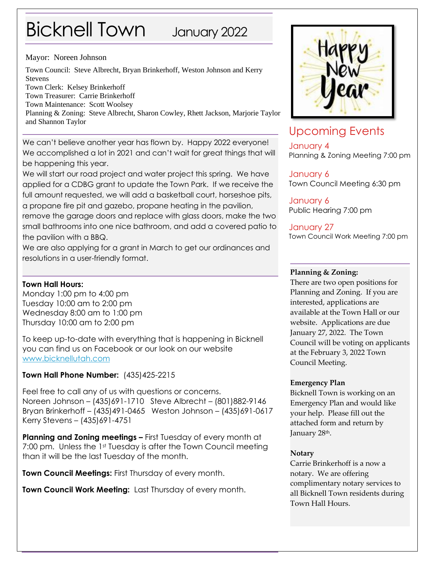# Bicknell Town January 2022

#### Mayor: Noreen Johnson

Town Council: Steve Albrecht, Bryan Brinkerhoff, Weston Johnson and Kerry Stevens Town Clerk: Kelsey Brinkerhoff Town Treasurer: Carrie Brinkerhoff Town Maintenance: Scott Woolsey Planning & Zoning: Steve Albrecht, Sharon Cowley, Rhett Jackson, Marjorie Taylor and Shannon Taylor

We can't believe another year has flown by. Happy 2022 everyone! We accomplished a lot in 2021 and can't wait for great things that will be happening this year.

We will start our road project and water project this spring. We have applied for a CDBG grant to update the Town Park. If we receive the full amount requested, we will add a basketball court, horseshoe pits, a propane fire pit and gazebo, propane heating in the pavilion,

remove the garage doors and replace with glass doors, make the two small bathrooms into one nice bathroom, and add a covered patio to the pavilion with a BBQ.

We are also applying for a grant in March to get our ordinances and resolutions in a user-friendly format.

#### **Town Hall Hours:**

Monday 1:00 pm to 4:00 pm Tuesday 10:00 am to 2:00 pm Wednesday 8:00 am to 1:00 pm Thursday 10:00 am to 2:00 pm

To keep up-to-date with everything that is happening in Bicknell you can find us on Facebook or our look on our website [www.bicknellutah.com](http://www.bicknellutah.com/)

#### **Town Hall Phone Number:** (435)425-2215

Feel free to call any of us with questions or concerns. Noreen Johnson – (435)691-1710 Steve Albrecht – (801)882-9146 Bryan Brinkerhoff – (435)491-0465 Weston Johnson – (435)691-0617 Kerry Stevens – (435)691-4751

**Planning and Zoning meetings –** First Tuesday of every month at 7:00 pm. Unless the 1<sup>st</sup> Tuesday is after the Town Council meeting than it will be the last Tuesday of the month.

**Town Council Meetings:** First Thursday of every month.

**Town Council Work Meeting:** Last Thursday of every month.



# Upcoming Events

January 4 Planning & Zoning Meeting 7:00 pm

January 6 Town Council Meeting 6:30 pm

January 6 Public Hearing 7:00 pm

#### January 27 Town Council Work Meeting 7:00 pm

#### **Planning & Zoning:**

There are two open positions for Planning and Zoning. If you are interested, applications are available at the Town Hall or our website. Applications are due January 27, 2022. The Town Council will be voting on applicants at the February 3, 2022 Town Council Meeting.

#### **Emergency Plan**

Bicknell Town is working on an Emergency Plan and would like your help. Please fill out the attached form and return by January 28<sup>th</sup>.

#### **Notary**

Carrie Brinkerhoff is a now a notary. We are offering complimentary notary services to all Bicknell Town residents during Town Hall Hours.